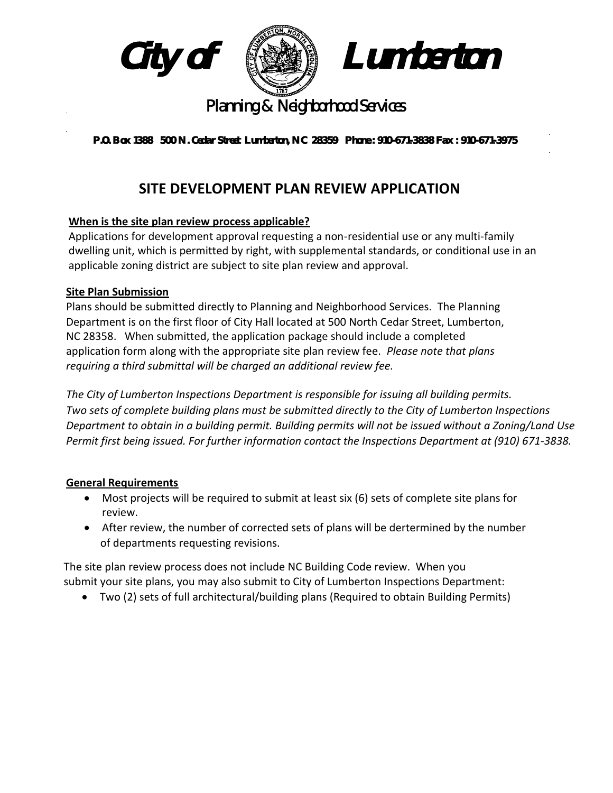

**P.O. Box 1388 500 N. Cedar Street Lumberton, NC 28359 Phone : 910-671-3838 Fax : 910-671-3975**

# **SITE DEVELOPMENT PLAN REVIEW APPLICATION**

# **When is the site plan review process applicable?**

Applications for development approval requesting a non-residential use or any multi-family dwelling unit, which is permitted by right, with supplemental standards, or conditional use in an applicable zoning district are subject to site plan review and approval.

## **Site Plan Submission**

Plans should be submitted directly to Planning and Neighborhood Services. The Planning Department is on the first floor of City Hall located at 500 North Cedar Street, Lumberton, NC 28358. When submitted, the application package should include a completed application form along with the appropriate site plan review fee. *Please note that plans requiring a third submittal will be charged an additional review fee.*

*The City of Lumberton Inspections Department is responsible for issuing all building permits. Two sets of complete building plans must be submitted directly to the City of Lumberton Inspections Department to obtain in a building permit. Building permits will not be issued without a Zoning/Land Use Permit first being issued. For further information contact the Inspections Department at (910) 671‐3838.*

## **General Requirements**

- Most projects will be required to submit at least six (6) sets of complete site plans for review.
- After review, the number of corrected sets of plans will be dertermined by the number of departments requesting revisions.

The site plan review process does not include NC Building Code review. When you submit your site plans, you may also submit to City of Lumberton Inspections Department:

Two (2) sets of full architectural/building plans (Required to obtain Building Permits)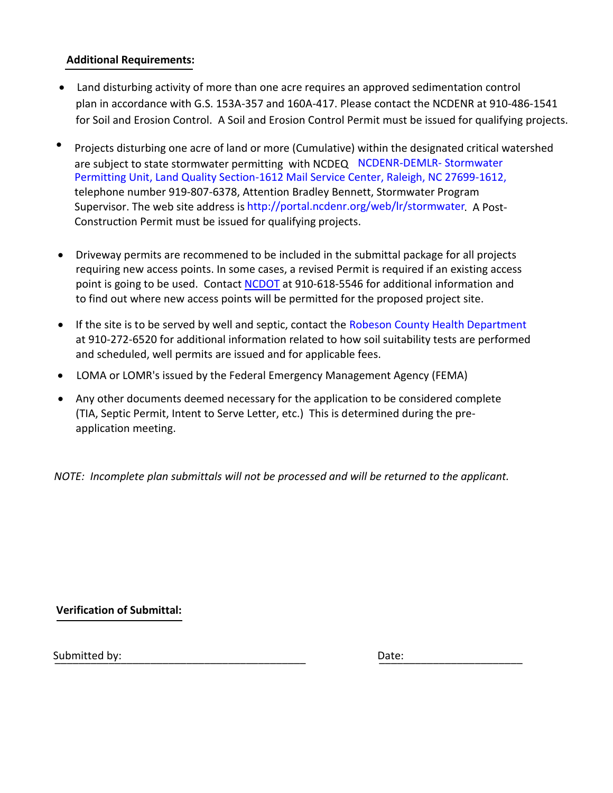#### **Additional Requirements:**

- Land disturbing activity of more than one acre requires an approved sedimentation control plan in accordance with G.S. 153A-357 and 160A-417. Please contact the NCDENR at 910‐486‐1541 for Soil and Erosion Control. A Soil and Erosion Control Permit must be issued for qualifying projects.
- Projects disturbing one acre of land or more (Cumulative) within the designated critical watershed are subject to state stormwater permitting with NCDEQ NCDENR-DEMLR- Stormwater Permitting Unit, Land Quality Section-1612 Mail Service Center, Raleigh, NC 27699-1612, telephone number 919-807-6378, Attention Bradley Bennett, Stormwater Program Supervisor. The web site address is http://portal.ncdenr.org/web/lr/stormwater. A Post-Construction Permit must be issued for qualifying projects.
- Driveway permits are recommened to be included in the submittal package for all projects requiring new access points. In some cases, a revised Permit is required if an existing access point is going to be used. Contact NCDOT at 910‐618‐5546 for additional information and to find out where new access points will be permitted for the proposed project site.
- If the site is to be served by well and septic, contact the Robeson County Health Department at 910‐272‐6520 for additional information related to how soil suitability tests are performed and scheduled, well permits are issued and for applicable fees.
- LOMA or LOMR's issued by the Federal Emergency Management Agency (FEMA)
- Any other documents deemed necessary for the application to be considered complete (TIA, Septic Permit, Intent to Serve Letter, etc.) This is determined during the preapplication meeting.

*NOTE: Incomplete plan submittals will not be processed and will be returned to the applicant.* 

**Verification of Submittal:**

Su\_\_b\_\_mi\_\_tt\_e\_\_d b\_\_y: \_\_\_\_\_\_\_\_\_\_\_\_\_\_\_\_\_\_\_\_\_\_\_\_\_\_\_\_\_\_\_ D\_\_at\_\_e: \_\_\_\_\_\_\_\_\_\_\_\_\_\_\_\_\_\_\_\_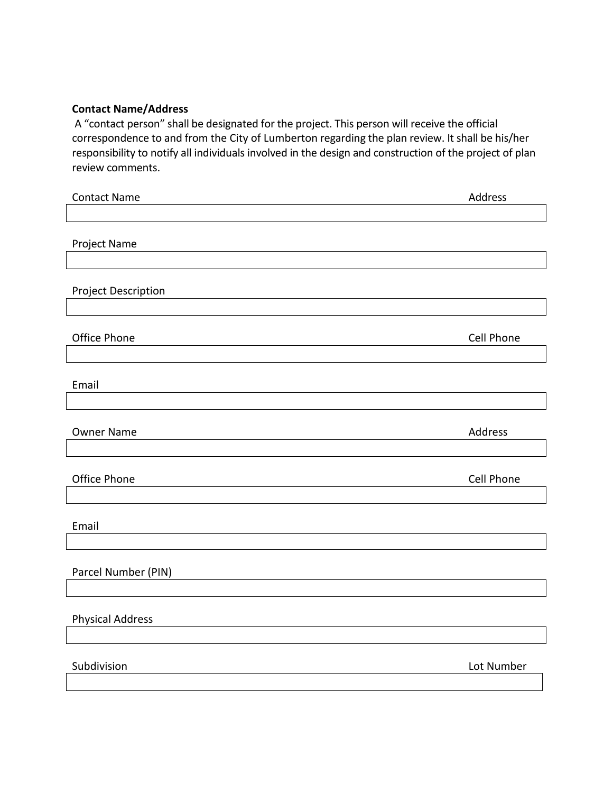## **Contact Name/Address**

A "contact person" shall be designated for the project. This person will receive the official correspondence to and from the City of Lumberton regarding the plan review. It shall be his/her responsibility to notify all individuals involved in the design and construction of the project of plan review comments.

| <b>Contact Name</b>        | Address    |
|----------------------------|------------|
|                            |            |
| Project Name               |            |
|                            |            |
| <b>Project Description</b> |            |
|                            |            |
|                            |            |
| Office Phone               | Cell Phone |
|                            |            |
| Email                      |            |
|                            |            |
| <b>Owner Name</b>          | Address    |
|                            |            |
| Office Phone               | Cell Phone |
|                            |            |
|                            |            |
| Email                      |            |
|                            |            |
| Parcel Number (PIN)        |            |
|                            |            |
| <b>Physical Address</b>    |            |
|                            |            |
| Subdivision                | Lot Number |
|                            |            |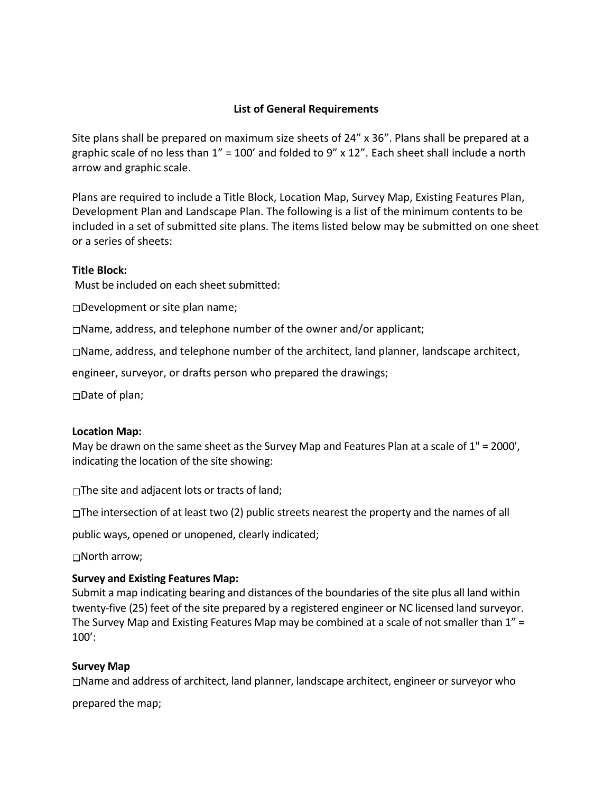#### **List of General Requirements**

Site plans shall be prepared on maximum size sheets of 24" x 36". Plans shall be prepared at a graphic scale of no less than  $1'' = 100'$  and folded to 9" x  $12"$ . Each sheet shall include a north arrow and graphic scale.

Plans are required to include a Title Block, Location Map, Survey Map, Existing Features Plan, Development Plan and Landscape Plan. The following is a list of the minimum contents to be included in a set of submitted site plans. The items listed below may be submitted on one sheet or a series of sheets:

#### **Title Block:**

Must be included on each sheet submitted:

□Development or site plan name;

Name, address, and telephone number of the owner and/or applicant;

 $\Box$ Name, address, and telephone number of the architect, land planner, landscape architect,

engineer, surveyor, or drafts person who prepared the drawings;

□Date of plan;

#### **Location Map:**

May be drawn on the same sheet as the Survey Map and Features Plan at a scale of 1" = 2000', indicating the location of the site showing:

 $\Box$ The site and adjacent lots or tracts of land;

 $\Box$ The intersection of at least two (2) public streets nearest the property and the names of all

public ways, opened or unopened, clearly indicated;

North arrow;

## **Survey and Existing Features Map:**

Submit a map indicating bearing and distances of the boundaries of the site plus all land within twenty-five (25) feet of the site prepared by a registered engineer or NC licensed land surveyor. The Survey Map and Existing Features Map may be combined at a scale of not smaller than 1" = 100':

#### **Survey Map**

Name and address of architect, land planner, landscape architect, engineer or surveyor who

prepared the map;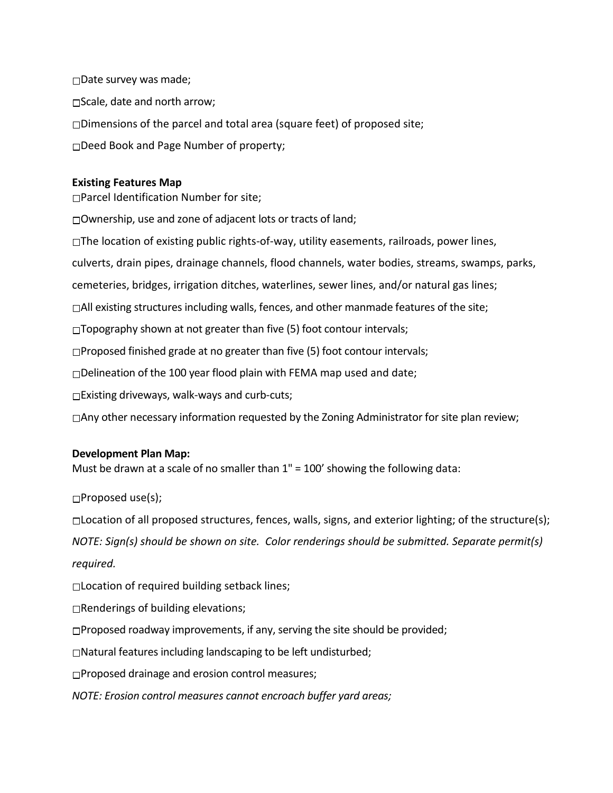□Date survey was made;  $\square$  Scale, date and north arrow;  $\Box$ Dimensions of the parcel and total area (square feet) of proposed site; Deed Book and Page Number of property;

#### **Existing Features Map**

Parcel Identification Number for site;

Ownership, use and zone of adjacent lots or tracts of land;

 $\Box$ The location of existing public rights-of-way, utility easements, railroads, power lines,

culverts, drain pipes, drainage channels, flood channels, water bodies, streams, swamps, parks,

cemeteries, bridges, irrigation ditches, waterlines, sewer lines, and/or natural gas lines;

 $\Box$ All existing structures including walls, fences, and other manmade features of the site;

 $\Box$ Topography shown at not greater than five (5) foot contour intervals;

Proposed finished grade at no greater than five (5) foot contour intervals;

 $\Box$ Delineation of the 100 year flood plain with FEMA map used and date;

Existing driveways, walk-ways and curb-cuts;

Any other necessary information requested by the Zoning Administrator for site plan review;

#### **Development Plan Map:**

Must be drawn at a scale of no smaller than 1" = 100' showing the following data:

Proposed use(s);

 $\Box$ Location of all proposed structures, fences, walls, signs, and exterior lighting; of the structure(s);

*NOTE: Sign(s) should be shown on site. Color renderings should be submitted. Separate permit(s)* 

*required.*

Location of required building setback lines;

 $\Box$ Renderings of building elevations;

 $\Box$ Proposed roadway improvements, if any, serving the site should be provided;

Natural features including landscaping to be left undisturbed;

Proposed drainage and erosion control measures;

*NOTE: Erosion control measures cannot encroach buffer yard areas;*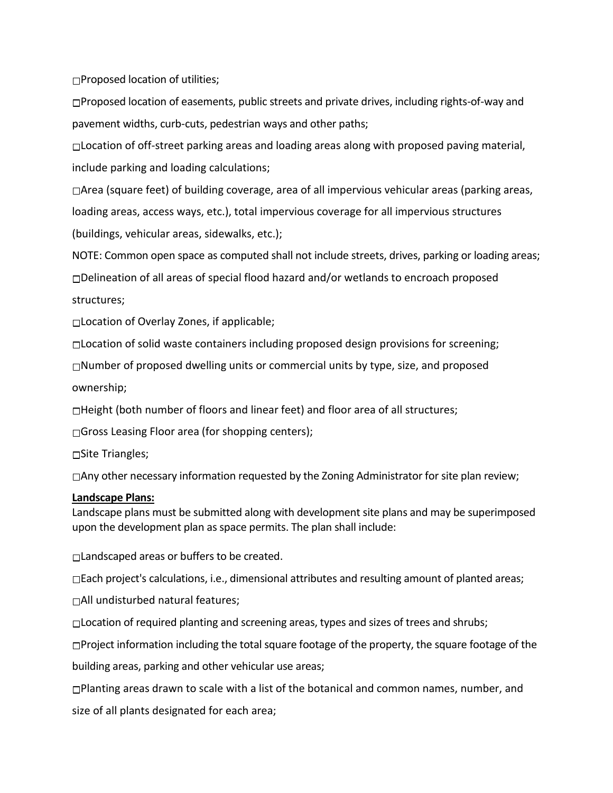$\Box$ Proposed location of utilities;

 $\Box$ Proposed location of easements, public streets and private drives, including rights-of-way and pavement widths, curb-cuts, pedestrian ways and other paths;

□Location of off-street parking areas and loading areas along with proposed paving material, include parking and loading calculations;

 $\Box$ Area (square feet) of building coverage, area of all impervious vehicular areas (parking areas, loading areas, access ways, etc.), total impervious coverage for all impervious structures (buildings, vehicular areas, sidewalks, etc.);

NOTE: Common open space as computed shall not include streets, drives, parking or loading areas;  $\Box$ Delineation of all areas of special flood hazard and/or wetlands to encroach proposed structures;

Location of Overlay Zones, if applicable;

 $\Box$ Location of solid waste containers including proposed design provisions for screening;

Number of proposed dwelling units or commercial units by type, size, and proposed ownership;

 $\Box$ Height (both number of floors and linear feet) and floor area of all structures;

□Gross Leasing Floor area (for shopping centers);

□Site Triangles;

Any other necessary information requested by the Zoning Administrator for site plan review;

#### **Landscape Plans:**

Landscape plans must be submitted along with development site plans and may be superimposed upon the development plan as space permits. The plan shall include:

Landscaped areas or buffers to be created.

 $\Box$ Each project's calculations, i.e., dimensional attributes and resulting amount of planted areas;

All undisturbed natural features;

□Location of required planting and screening areas, types and sizes of trees and shrubs;

 $\Box$ Project information including the total square footage of the property, the square footage of the

building areas, parking and other vehicular use areas;

Planting areas drawn to scale with a list of the botanical and common names, number, and size of all plants designated for each area;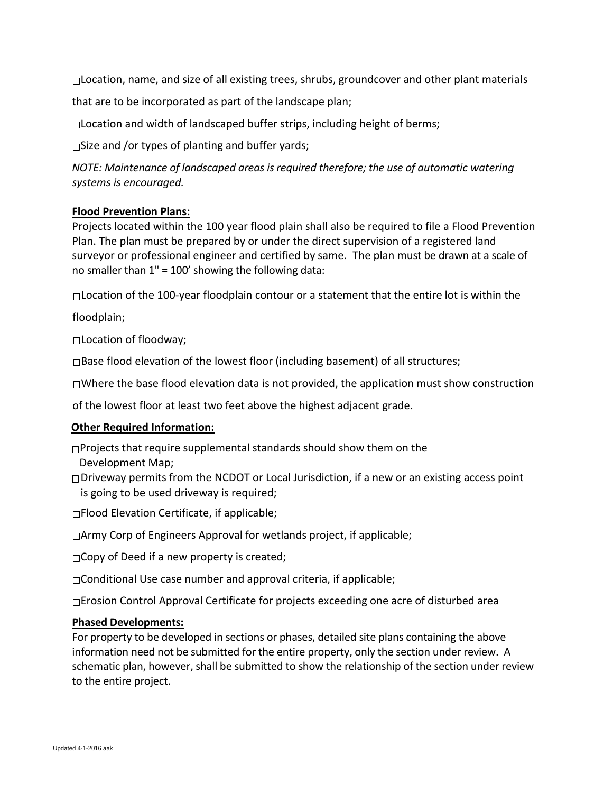$\Box$ Location, name, and size of all existing trees, shrubs, groundcover and other plant materials

that are to be incorporated as part of the landscape plan;

 $\Box$ Location and width of landscaped buffer strips, including height of berms;

 $\square$ Size and /or types of planting and buffer yards;

*NOTE: Maintenance of landscaped areas is required therefore; the use of automatic watering systems is encouraged.*

#### **Flood Prevention Plans:**

Projects located within the 100 year flood plain shall also be required to file a Flood Prevention Plan. The plan must be prepared by or under the direct supervision of a registered land surveyor or professional engineer and certified by same. The plan must be drawn at a scale of no smaller than 1" = 100' showing the following data:

 $\Box$ Location of the 100-year floodplain contour or a statement that the entire lot is within the

floodplain;

Location of floodway;

Base flood elevation of the lowest floor (including basement) of all structures;

 $\Box$ Where the base flood elevation data is not provided, the application must show construction

of the lowest floor at least two feet above the highest adjacent grade.

#### **Other Required Information:**

 $\Box$ Projects that require supplemental standards should show them on the Development Map;

 $\Box$ Driveway permits from the NCDOT or Local Jurisdiction, if a new or an existing access point is going to be used driveway is required;

 $\Box$ Flood Elevation Certificate, if applicable;

Army Corp of Engineers Approval for wetlands project, if applicable;

 $\Box$ Copy of Deed if a new property is created;

 $\Box$ Conditional Use case number and approval criteria, if applicable;

Erosion Control Approval Certificate for projects exceeding one acre of disturbed area

#### **Phased Developments:**

For property to be developed in sections or phases, detailed site plans containing the above information need not be submitted for the entire property, only the section under review. A schematic plan, however, shall be submitted to show the relationship of the section under review to the entire project.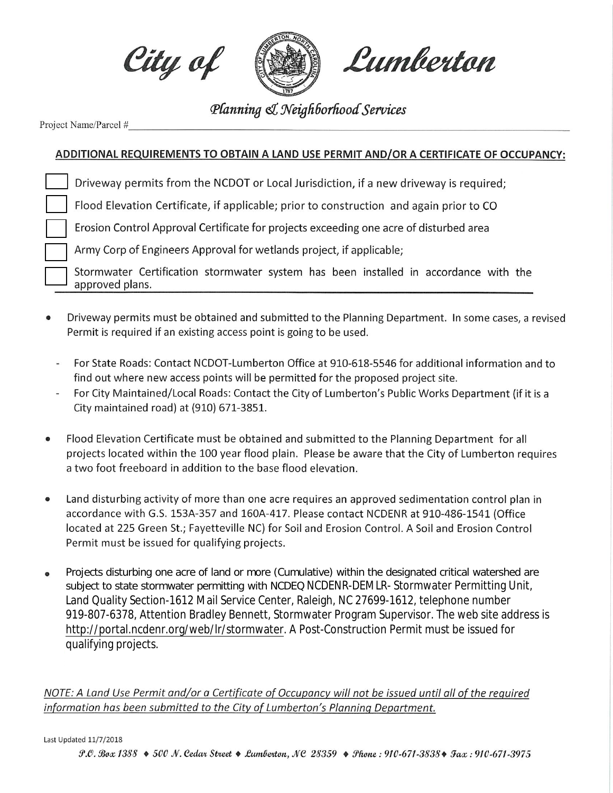



Planning & Neighborhood Services

Project Name/Parcel #

# ADDITIONAL REQUIREMENTS TO OBTAIN A LAND USE PERMIT AND/OR A CERTIFICATE OF OCCUPANCY:

| Driveway permits from the NCDOT or Local Jurisdiction, if a new driveway is required;                   |
|---------------------------------------------------------------------------------------------------------|
| Flood Elevation Certificate, if applicable; prior to construction and again prior to CO                 |
| Erosion Control Approval Certificate for projects exceeding one acre of disturbed area                  |
| Army Corp of Engineers Approval for wetlands project, if applicable;                                    |
| Stormwater Certification stormwater system has been installed in accordance with the<br>approved plans. |

- Driveway permits must be obtained and submitted to the Planning Department. In some cases, a revised Permit is required if an existing access point is going to be used.
	- For State Roads: Contact NCDOT-Lumberton Office at 910-618-5546 for additional information and to find out where new access points will be permitted for the proposed project site.
	- For City Maintained/Local Roads: Contact the City of Lumberton's Public Works Department (if it is a City maintained road) at (910) 671-3851.
- Flood Elevation Certificate must be obtained and submitted to the Planning Department for all  $\bullet$ projects located within the 100 year flood plain. Please be aware that the City of Lumberton requires a two foot freeboard in addition to the base flood elevation.
- Land disturbing activity of more than one acre requires an approved sedimentation control plan in  $\bullet$ accordance with G.S. 153A-357 and 160A-417. Please contact NCDENR at 910-486-1541 (Office located at 225 Green St.; Fayetteville NC) for Soil and Erosion Control. A Soil and Erosion Control Permit must be issued for qualifying projects.
- Projects disturbing one acre of land or more (Cumulative) within the designated critical watershed are  $\ddot{\bullet}$ subject to state stormwater permitting with NCDEQ NCDENR-DEMLR-Stormwater Permitting Unit, Land Quality Section-1612 Mail Service Center, Raleigh, NC 27699-1612, telephone number 919-807-6378, Attention Bradley Bennett, Stormwater Program Supervisor. The web site address is http://portal.ncdenr.org/web/lr/stormwater. A Post-Construction Permit must be issued for qualifying projects.

NOTE: A Land Use Permit and/or a Certificate of Occupancy will not be issued until all of the required information has been submitted to the City of Lumberton's Planning Department.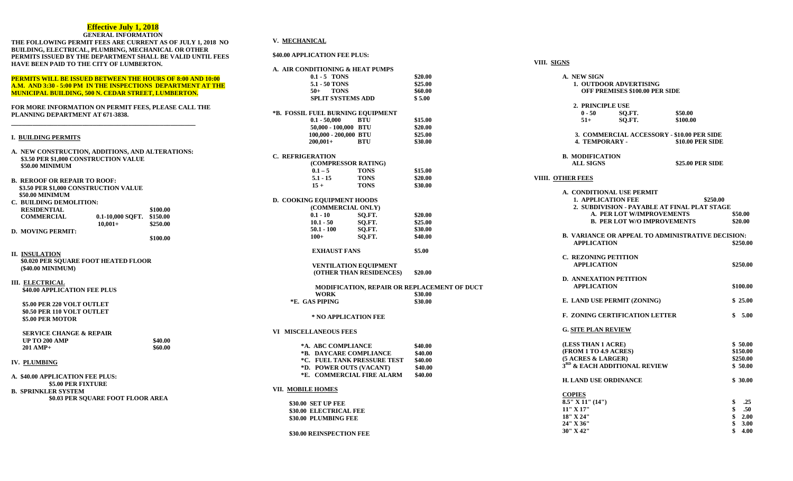#### **Effective July 1, 2018**

| <b>GENERAL INFORMATION</b><br>THE FOLLOWING PERMIT FEES ARE CURRENT AS OF JULY 1, 2018 NO<br>BUILDING, ELECTRICAL, PLUMBING, MECHANICAL OR OTHER<br>PERMITS ISSUED BY THE DEPARTMENT SHALL BE VALID UNTIL FEES |          | V. MECHANICAL<br>\$40.00 APPLICATION FEE PLUS: |            |
|----------------------------------------------------------------------------------------------------------------------------------------------------------------------------------------------------------------|----------|------------------------------------------------|------------|
| HAVE BEEN PAID TO THE CITY OF LUMBERTON.                                                                                                                                                                       |          |                                                |            |
|                                                                                                                                                                                                                |          | A. AIR CONDITIONING & HEAT                     |            |
| <b>PERMITS WILL BE ISSUED BETWEEN THE HOURS OF 8:00 AND 10:00</b>                                                                                                                                              |          | $0.1 - 5$ TONS                                 |            |
| <u>A.M. AND 3:30 - 5:00 PM IN THE INSPECTIONS DEPARTMENT AT THE </u>                                                                                                                                           |          | 5.1 - 50 TONS                                  |            |
| <u>MUNICIPAL BUILDING, 500 N. CEDAR STREET, LUMBERTON.</u>                                                                                                                                                     |          | $50+$<br><b>TONS</b>                           |            |
|                                                                                                                                                                                                                |          | <b>SPLIT SYSTEMS AD</b>                        |            |
| FOR MORE INFORMATION ON PERMIT FEES, PLEASE CALL THE                                                                                                                                                           |          | *B. FOSSIL FUEL BURNING EOI                    |            |
| PLANNING DEPARTMENT AT 671-3838.                                                                                                                                                                               |          | $0.1 - 50,000$                                 | BTU        |
|                                                                                                                                                                                                                |          | 50,000 - 100,000 BTU                           |            |
|                                                                                                                                                                                                                |          | 100,000 - 200,000 BTU                          |            |
| I. BUILDING PERMITS                                                                                                                                                                                            |          | $200.001+$                                     | BTU        |
| A. NEW CONSTRUCTION, ADDITIONS, AND ALTERATIONS:                                                                                                                                                               |          |                                                |            |
| \$3.50 PER \$1,000 CONSTRUCTION VALUE                                                                                                                                                                          |          | <b>C. REFRIGERATION</b>                        |            |
| \$50.00 MINIMUM                                                                                                                                                                                                |          | (COMPRESSOR RAT                                |            |
|                                                                                                                                                                                                                |          | $0.1 - 5$                                      | <b>TOP</b> |
| <b>B. REROOF OR REPAIR TO ROOF:</b>                                                                                                                                                                            |          | $5.1 - 15$                                     | <b>TOP</b> |
| \$3.50 PER \$1,000 CONSTRUCTION VALUE                                                                                                                                                                          |          | $15 +$                                         | TOI        |
| \$50.00 MINIMUM                                                                                                                                                                                                |          |                                                |            |
| C. BUILDING DEMOLITION:                                                                                                                                                                                        |          | D. COOKING EQUIPMENT HOO                       |            |
| <b>RESIDENTIAL</b>                                                                                                                                                                                             | \$100.00 | (COMMERCIAL ON                                 |            |
| <b>COMMERCIAL</b><br>0.1-10,000 SQFT.                                                                                                                                                                          | \$150.00 | $0.1 - 10$                                     | SO.        |
| $10.001+$                                                                                                                                                                                                      | \$250.00 | $10.1 - 50$                                    | SQ.        |
| <b>D. MOVING PERMIT:</b>                                                                                                                                                                                       |          | $50.1 - 100$                                   | SO.        |
|                                                                                                                                                                                                                | \$100.00 | $100+$                                         | SQ.        |
| II. INSULATION                                                                                                                                                                                                 |          | <b>EXHAUST FANS</b>                            |            |
| \$0.020 PER SQUARE FOOT HEATED FLOOR                                                                                                                                                                           |          |                                                |            |
| (\$40.00 MINIMUM)                                                                                                                                                                                              |          | <b>VENTILATION EQU</b>                         |            |
|                                                                                                                                                                                                                |          | <b>(OTHER THAN RE</b>                          |            |
| <b>III. ELECTRICAL</b>                                                                                                                                                                                         |          | <b>MODIFICATION, 1</b>                         |            |
| \$40.00 APPLICATION FEE PLUS                                                                                                                                                                                   |          | <b>WORK</b>                                    |            |
|                                                                                                                                                                                                                |          | *E. GAS PIPING                                 |            |
| \$5.00 PER 220 VOLT OUTLET<br>\$0.50 PER 110 VOLT OUTLET                                                                                                                                                       |          |                                                |            |
| \$5.00 PER MOTOR                                                                                                                                                                                               |          | * NO APPLICATION                               |            |
|                                                                                                                                                                                                                |          |                                                |            |
| <b>SERVICE CHANGE &amp; REPAIR</b>                                                                                                                                                                             |          | VI MISCELLANEOUS FEES                          |            |
| <b>UP TO 200 AMP</b>                                                                                                                                                                                           | \$40.00  |                                                |            |
| 201 AMP+                                                                                                                                                                                                       | \$60.00  | *A. ABC COMPLIANCI<br>*B. DAYCARE COMPI        |            |
|                                                                                                                                                                                                                |          | *C. FUEL TANK PRES                             |            |
| IV. PLUMBING                                                                                                                                                                                                   |          | *D. POWER OUTS (VA                             |            |
|                                                                                                                                                                                                                |          | *E. COMMERCIAL FI                              |            |
| A. \$40.00 APPLICATION FEE PLUS:                                                                                                                                                                               |          |                                                |            |
| \$5.00 PER FIXTURE                                                                                                                                                                                             |          | VII. MOBILE HOMES                              |            |
| <b>B. SPRINKLER SYSTEM</b>                                                                                                                                                                                     |          |                                                |            |
| \$0.03 PER SQUARE FOOT FLOOR AREA                                                                                                                                                                              |          | \$30.00 SET UP FEE                             |            |
|                                                                                                                                                                                                                |          | \$30.00 ELECTRICAL FEE                         |            |
|                                                                                                                                                                                                                |          | \$30.00 PLUMBING FEE                           |            |
|                                                                                                                                                                                                                |          |                                                |            |

**\$30.00 REINSPECTION FEE**

| $\sqrt{2}$                                   |                         |                                             |
|----------------------------------------------|-------------------------|---------------------------------------------|
| A. AIR CONDITIONING & HEAT PUMPS             |                         |                                             |
| $0.1 - 5$ TONS                               |                         | \$20.00                                     |
| 5.1 - 50 TONS                                |                         | \$25.00                                     |
| $50+$ TONS                                   |                         | \$60.00                                     |
| <b>SPLIT SYSTEMS ADD</b>                     |                         | \$5.00                                      |
|                                              |                         |                                             |
| *B. FOSSIL FUEL BURNING EQUIPMENT            |                         |                                             |
| $0.1 - 50,000$                               | BTU                     | \$15.00                                     |
| 50,000 - 100,000 BTU                         |                         | \$20.00                                     |
| 100,000 - 200,000 BTU                        |                         | \$25.00                                     |
| $200,001+$                                   | <b>BTU</b>              | \$30.00                                     |
| C. REFRIGERATION                             |                         |                                             |
| (COMPRESSOR RATING)                          |                         |                                             |
| $0.1 - 5$                                    | <b>TONS</b>             | \$15.00                                     |
| $5.1 - 15$                                   | TONS                    | \$20.00                                     |
| $15+$                                        | TONS                    | \$30.00                                     |
|                                              |                         |                                             |
| <b>D. COOKING EQUIPMENT HOODS</b>            |                         |                                             |
| (COMMERCIAL ONLY)                            |                         |                                             |
| $0.1 - 10$                                   | SQ.FT.                  | \$20.00                                     |
| $10.1 - 50$                                  | SQ.FT.                  | \$25.00                                     |
| $50.1 - 100$                                 | SQ.FT.                  | \$30.00                                     |
| $100 +$                                      | SQ.FT.                  | \$40.00                                     |
| <b>EXHAUST FANS</b>                          |                         | \$5.00                                      |
|                                              |                         |                                             |
| <b>VENTILATION EQUIPMENT</b>                 | (OTHER THAN RESIDENCES) | \$20.00                                     |
|                                              |                         |                                             |
|                                              |                         | MODIFICATION, REPAIR OR REPLACEMENT OF DUCT |
| <b>WORK</b>                                  |                         | \$30.00                                     |
| *E. GAS PIPING                               |                         | \$30.00                                     |
| * NO APPLICATION FEE                         |                         |                                             |
|                                              |                         |                                             |
| VI MISCELLANEOUS FEES                        |                         |                                             |
| *A. ABC COMPLIANCE                           |                         | \$40.00                                     |
| *B.DAYCARE COMPLIANCE                        |                         | \$40.00                                     |
| *C.FUEL TANK PRESSURE TEST                   |                         | \$40.00                                     |
| *D. POWER OUTS (VACANT)                      |                         | \$40.00                                     |
| *E. COMMERCIAL FIRE ALARM \$40.00            |                         |                                             |
| VII. MOBILE HOMES                            |                         |                                             |
|                                              |                         |                                             |
| \$30.00 SET UP FEE<br>\$30.00 ELECTRICAL FEE |                         |                                             |
| \$30.00 PLUMBING FEE                         |                         |                                             |
|                                              |                         |                                             |

#### **VIII. SIGNS**

| A. NEW SIGN                                            | <b>1. OUTDOOR ADVERTISING</b><br><b>OFF PREMISES \$100.00 PER SIDE</b> |                                                          |            |
|--------------------------------------------------------|------------------------------------------------------------------------|----------------------------------------------------------|------------|
| 2. PRINCIPLE USE                                       |                                                                        |                                                          |            |
| $0 - 50$ SQ.FT.                                        |                                                                        | \$50.00                                                  |            |
| $51+$                                                  | SO.FT.                                                                 | \$100.00                                                 |            |
|                                                        |                                                                        |                                                          |            |
|                                                        | 3. COMMERCIAL ACCESSORY - \$10.00 PER SIDE                             |                                                          |            |
| 4. TEMPORARY -                                         |                                                                        | \$10.00 PER SIDE                                         |            |
| <b>B. MODIFICATION</b>                                 |                                                                        |                                                          |            |
| <b>ALL SIGNS</b>                                       |                                                                        | \$25.00 PER SIDE                                         |            |
|                                                        |                                                                        |                                                          |            |
| VIIII. OTHER FEES                                      |                                                                        |                                                          |            |
|                                                        |                                                                        |                                                          |            |
| A. CONDITIONAL USE PERMIT<br><b>1. APPLICATION FEE</b> |                                                                        | \$250.00                                                 |            |
|                                                        |                                                                        | 2. SUBDIVISION - PAYABLE AT FINAL PLAT STAGE             |            |
|                                                        | <b>A. PER LOT W/IMPROVEMENTS</b>                                       |                                                          | \$50.00    |
|                                                        | <b>B. PER LOT W/O IMPROVEMENTS</b>                                     |                                                          | \$20.00    |
|                                                        |                                                                        |                                                          |            |
|                                                        |                                                                        | <b>B. VARIANCE OR APPEAL TO ADMINISTRATIVE DECISION:</b> |            |
| <b>APPLICATION</b>                                     |                                                                        |                                                          | \$250.00   |
|                                                        |                                                                        |                                                          |            |
| <b>C. REZONING PETITION</b>                            |                                                                        |                                                          |            |
| <b>APPLICATION</b>                                     |                                                                        |                                                          | \$250.00   |
|                                                        |                                                                        |                                                          |            |
| <b>D. ANNEXATION PETITION</b>                          |                                                                        |                                                          |            |
| <b>APPLICATION</b>                                     |                                                                        |                                                          | \$100.00   |
| E. LAND USE PERMIT (ZONING)                            |                                                                        |                                                          | \$25.00    |
|                                                        | <b>F. ZONING CERTIFICATION LETTER</b>                                  |                                                          | \$5.00     |
| <b>G. SITE PLAN REVIEW</b>                             |                                                                        |                                                          |            |
| (LESS THAN 1 ACRE)                                     |                                                                        |                                                          | \$50.00    |
| (FROM 1 TO 4.9 ACRES)                                  |                                                                        |                                                          | \$150.00   |
| (5 ACRES & LARGER)                                     |                                                                        |                                                          | \$250.00   |
|                                                        | 3 <sup>RD</sup> & EACH ADDITIONAL REVIEW                               |                                                          | \$50.00    |
| <b>H. LAND USE ORDINANCE</b>                           |                                                                        |                                                          | \$30.00    |
| <b>COPIES</b>                                          |                                                                        |                                                          |            |
| $8.5''$ X 11" (14")                                    |                                                                        |                                                          | \$<br>.25  |
| $11"$ X $17"$                                          |                                                                        |                                                          | \$<br>.50  |
| 18" X 24"                                              |                                                                        |                                                          | \$<br>2.00 |
| 24" X 36"                                              |                                                                        |                                                          | \$<br>3.00 |
| 30" X 42"                                              |                                                                        |                                                          | \$<br>4.00 |